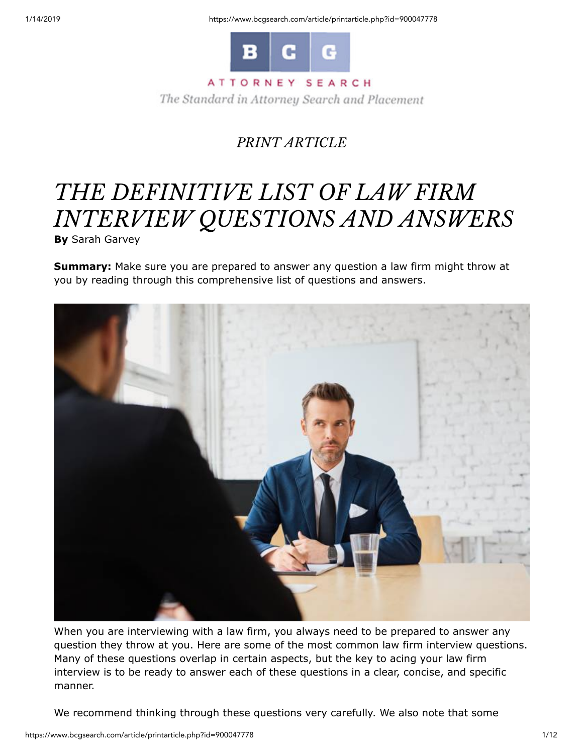1/14/2019 https://www.bcgsearch.com/article/printarticle.php?id=900047778



### ATTORNEY SEARCH

The Standard in Attorney Search and Placement

## *PRINT ARTICLE*

# *THE DEFINITIVE LIST OF LAW FIRM INTERVIEW QUESTIONS AND ANSWERS*

**By** Sarah Garvey

**Summary:** Make sure you are prepared to answer any question a law firm might throw at you by reading through this comprehensive list of questions and answers.



When you are interviewing with a law firm, you always need to be prepared to answer any question they throw at you. Here are some of the most common law firm interview questions. Many of these questions overlap in certain aspects, but the key to acing your law firm interview is to be ready to answer each of these questions in a clear, concise, and specific manner.

We recommend thinking through these questions very carefully. We also note that some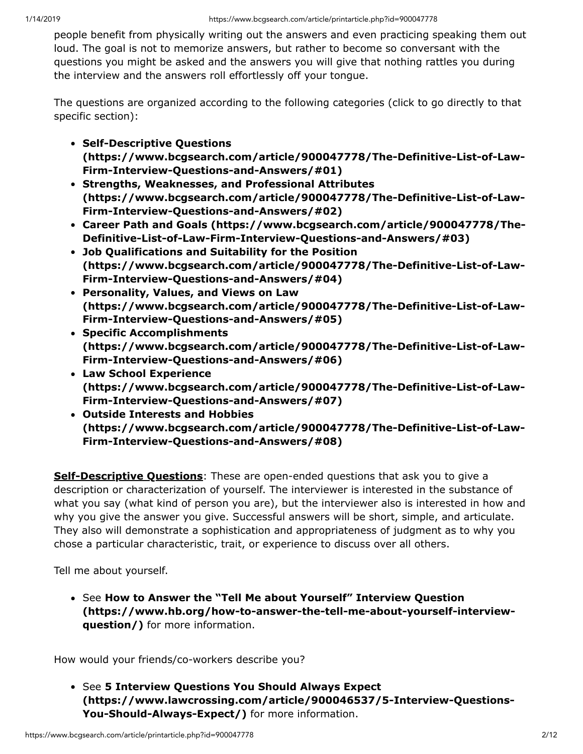people benefit from physically writing out the answers and even practicing speaking them out loud. The goal is not to memorize answers, but rather to become so conversant with the questions you might be asked and the answers you will give that nothing rattles you during the interview and the answers roll effortlessly off your tongue.

The questions are organized according to the following categories (click to go directly to that specific section):

- **Self-Descriptive Questions [\(https://www.bcgsearch.com/article/900047778/The-Definitive-List-of-Law-](https://www.bcgsearch.com/article/900047778/The-Definitive-List-of-Law-Firm-Interview-Questions-and-Answers/#01)Firm-Interview-Questions-and-Answers/#01)**
- **Strengths, Weaknesses, and Professional Attributes [\(https://www.bcgsearch.com/article/900047778/The-Definitive-List-of-Law-](https://www.bcgsearch.com/article/900047778/The-Definitive-List-of-Law-Firm-Interview-Questions-and-Answers/#02)Firm-Interview-Questions-and-Answers/#02)**
- **[Career Path and Goals \(https://www.bcgsearch.com/article/900047778/The-](https://www.bcgsearch.com/article/900047778/The-Definitive-List-of-Law-Firm-Interview-Questions-and-Answers/#03)Definitive-List-of-Law-Firm-Interview-Questions-and-Answers/#03)**
- **Job Qualifications and Suitability for the Position [\(https://www.bcgsearch.com/article/900047778/The-Definitive-List-of-Law-](https://www.bcgsearch.com/article/900047778/The-Definitive-List-of-Law-Firm-Interview-Questions-and-Answers/#04)Firm-Interview-Questions-and-Answers/#04)**
- **Personality, Values, and Views on Law [\(https://www.bcgsearch.com/article/900047778/The-Definitive-List-of-Law-](https://www.bcgsearch.com/article/900047778/The-Definitive-List-of-Law-Firm-Interview-Questions-and-Answers/#05)Firm-Interview-Questions-and-Answers/#05)**
- **Specific Accomplishments [\(https://www.bcgsearch.com/article/900047778/The-Definitive-List-of-Law-](https://www.bcgsearch.com/article/900047778/The-Definitive-List-of-Law-Firm-Interview-Questions-and-Answers/#06)Firm-Interview-Questions-and-Answers/#06)**
- **Law School Experience [\(https://www.bcgsearch.com/article/900047778/The-Definitive-List-of-Law-](https://www.bcgsearch.com/article/900047778/The-Definitive-List-of-Law-Firm-Interview-Questions-and-Answers/#07)Firm-Interview-Questions-and-Answers/#07)**
- **Outside Interests and Hobbies [\(https://www.bcgsearch.com/article/900047778/The-Definitive-List-of-Law-](https://www.bcgsearch.com/article/900047778/The-Definitive-List-of-Law-Firm-Interview-Questions-and-Answers/#08)Firm-Interview-Questions-and-Answers/#08)**

**Self-Descriptive Questions**: These are open-ended questions that ask you to give a description or characterization of yourself. The interviewer is interested in the substance of what you say (what kind of person you are), but the interviewer also is interested in how and why you give the answer you give. Successful answers will be short, simple, and articulate. They also will demonstrate a sophistication and appropriateness of judgment as to why you chose a particular characteristic, trait, or experience to discuss over all others.

Tell me about yourself.

See **How to Answer the "Tell Me about Yourself" Interview Question [\(https://www.hb.org/how-to-answer-the-tell-me-about-yourself-interview](https://www.hb.org/how-to-answer-the-tell-me-about-yourself-interview-question/)question/)** for more information.

How would your friends/co-workers describe you?

See **5 Interview Questions You Should Always Expect [\(https://www.lawcrossing.com/article/900046537/5-Interview-Questions-](https://www.lawcrossing.com/article/900046537/5-Interview-Questions-You-Should-Always-Expect/)You-Should-Always-Expect/)** for more information.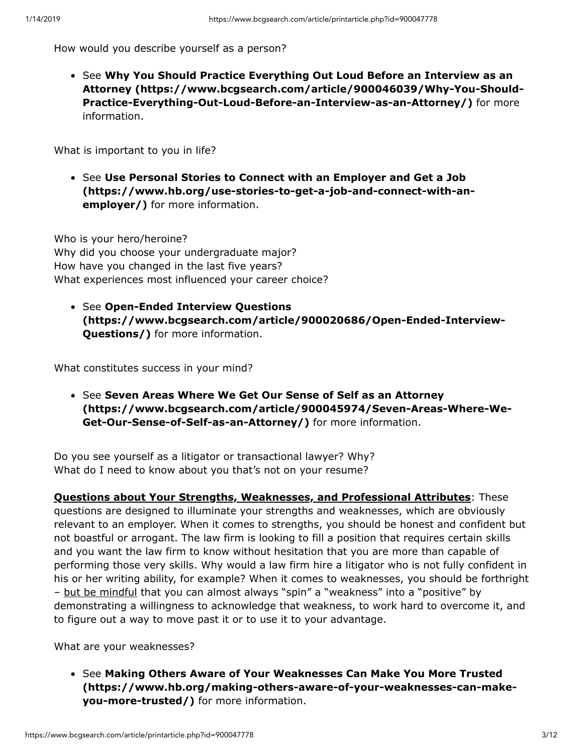How would you describe yourself as a person?

See **Why You Should Practice Everything Out Loud Before an Interview as an [Attorney \(https://www.bcgsearch.com/article/900046039/Why-You-Should-](https://www.bcgsearch.com/article/900046039/Why-You-Should-Practice-Everything-Out-Loud-Before-an-Interview-as-an-Attorney/)Practice-Everything-Out-Loud-Before-an-Interview-as-an-Attorney/)** for more information.

What is important to you in life?

**• See Use Personal Stories to Connect with an Employer and Get a Job [\(https://www.hb.org/use-stories-to-get-a-job-and-connect-with-an](https://www.hb.org/use-stories-to-get-a-job-and-connect-with-an-employer/)employer/)** for more information.

Who is your hero/heroine? Why did you choose your undergraduate major? How have you changed in the last five years? What experiences most influenced your career choice?

See **Open-Ended Interview Questions [\(https://www.bcgsearch.com/article/900020686/Open-Ended-Interview-](https://www.bcgsearch.com/article/900020686/Open-Ended-Interview-Questions/)Questions/)** for more information.

What constitutes success in your mind?

**• See Seven Areas Where We Get Our Sense of Self as an Attorney [\(https://www.bcgsearch.com/article/900045974/Seven-Areas-Where-We-](https://www.bcgsearch.com/article/900045974/Seven-Areas-Where-We-Get-Our-Sense-of-Self-as-an-Attorney/)Get-Our-Sense-of-Self-as-an-Attorney/)** for more information.

Do you see yourself as a litigator or transactional lawyer? Why? What do I need to know about you that's not on your resume?

**Questions about Your Strengths, Weaknesses, and Professional Attributes**: These questions are designed to illuminate your strengths and weaknesses, which are obviously relevant to an employer. When it comes to strengths, you should be honest and confident but not boastful or arrogant. The law firm is looking to fill a position that requires certain skills and you want the law firm to know without hesitation that you are more than capable of performing those very skills. Why would a law firm hire a litigator who is not fully confident in his or her writing ability, for example? When it comes to weaknesses, you should be forthright – but be mindful that you can almost always "spin" a "weakness" into a "positive" by demonstrating a willingness to acknowledge that weakness, to work hard to overcome it, and to figure out a way to move past it or to use it to your advantage.

What are your weaknesses?

See **Making Others Aware of Your Weaknesses Can Make You More Trusted [\(https://www.hb.org/making-others-aware-of-your-weaknesses-can-make](https://www.hb.org/making-others-aware-of-your-weaknesses-can-make-you-more-trusted/)you-more-trusted/)** for more information.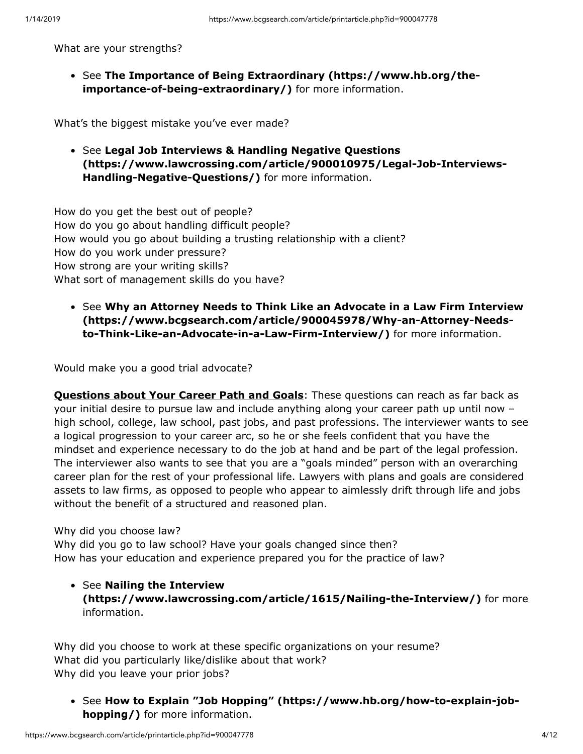What are your strengths?

• See [The Importance of Being Extraordinary \(https://www.hb.org/the](https://www.hb.org/the-importance-of-being-extraordinary/)**importance-of-being-extraordinary/)** for more information.

What's the biggest mistake you've ever made?

See **Legal Job Interviews & Handling Negative Questions [\(https://www.lawcrossing.com/article/900010975/Legal-Job-Interviews-](https://www.lawcrossing.com/article/900010975/Legal-Job-Interviews-Handling-Negative-Questions/)Handling-Negative-Questions/)** for more information.

How do you get the best out of people? How do you go about handling difficult people? How would you go about building a trusting relationship with a client? How do you work under pressure? How strong are your writing skills? What sort of management skills do you have?

See **Why an Attorney Needs to Think Like an Advocate in a Law Firm Interview [\(https://www.bcgsearch.com/article/900045978/Why-an-Attorney-Needs](https://www.bcgsearch.com/article/900045978/Why-an-Attorney-Needs-to-Think-Like-an-Advocate-in-a-Law-Firm-Interview/)to-Think-Like-an-Advocate-in-a-Law-Firm-Interview/)** for more information.

Would make you a good trial advocate?

**Questions about Your Career Path and Goals**: These questions can reach as far back as your initial desire to pursue law and include anything along your career path up until now – high school, college, law school, past jobs, and past professions. The interviewer wants to see a logical progression to your career arc, so he or she feels confident that you have the mindset and experience necessary to do the job at hand and be part of the legal profession. The interviewer also wants to see that you are a "goals minded" person with an overarching career plan for the rest of your professional life. Lawyers with plans and goals are considered assets to law firms, as opposed to people who appear to aimlessly drift through life and jobs without the benefit of a structured and reasoned plan.

Why did you choose law?

Why did you go to law school? Have your goals changed since then? How has your education and experience prepared you for the practice of law?

See **Nailing the Interview [\(https://www.lawcrossing.com/article/1615/Nailing-the-Interview/\)](https://www.lawcrossing.com/article/1615/Nailing-the-Interview/)** for more information.

Why did you choose to work at these specific organizations on your resume? What did you particularly like/dislike about that work? Why did you leave your prior jobs?

• See [How to Explain "Job Hopping" \(https://www.hb.org/how-to-explain-job](https://www.hb.org/how-to-explain-job-hopping/)**hopping/)** for more information.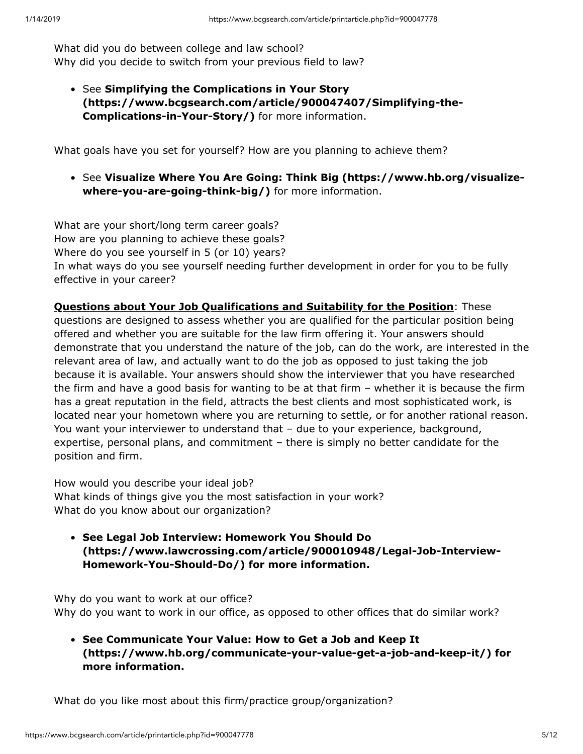What did you do between college and law school? Why did you decide to switch from your previous field to law?

See **Simplifying the Complications in Your Story [\(https://www.bcgsearch.com/article/900047407/Simplifying-the-](https://www.bcgsearch.com/article/900047407/Simplifying-the-Complications-in-Your-Story/)Complications-in-Your-Story/)** for more information.

What goals have you set for yourself? How are you planning to achieve them?

See **[Visualize Where You Are Going: Think Big \(https://www.hb.org/visualize](https://www.hb.org/visualize-where-you-are-going-think-big/)where-you-are-going-think-big/)** for more information.

What are your short/long term career goals? How are you planning to achieve these goals? Where do you see yourself in 5 (or 10) years? In what ways do you see yourself needing further development in order for you to be fully effective in your career?

**Questions about Your Job Qualifications and Suitability for the Position**: These questions are designed to assess whether you are qualified for the particular position being offered and whether you are suitable for the law firm offering it. Your answers should demonstrate that you understand the nature of the job, can do the work, are interested in the relevant area of law, and actually want to do the job as opposed to just taking the job because it is available. Your answers should show the interviewer that you have researched the firm and have a good basis for wanting to be at that firm – whether it is because the firm has a great reputation in the field, attracts the best clients and most sophisticated work, is located near your hometown where you are returning to settle, or for another rational reason. You want your interviewer to understand that – due to your experience, background, expertise, personal plans, and commitment – there is simply no better candidate for the position and firm.

How would you describe your ideal job? What kinds of things give you the most satisfaction in your work? What do you know about our organization?

**See Legal Job Interview: Homework You Should Do [\(https://www.lawcrossing.com/article/900010948/Legal-Job-Interview-](https://www.lawcrossing.com/article/900010948/Legal-Job-Interview-Homework-You-Should-Do/)Homework-You-Should-Do/) for more information.**

Why do you want to work at our office? Why do you want to work in our office, as opposed to other offices that do similar work?

**See Communicate Your Value: How to Get a Job and Keep It [\(https://www.hb.org/communicate-your-value-get-a-job-and-keep-it/\)](https://www.hb.org/communicate-your-value-get-a-job-and-keep-it/) for more information.**

What do you like most about this firm/practice group/organization?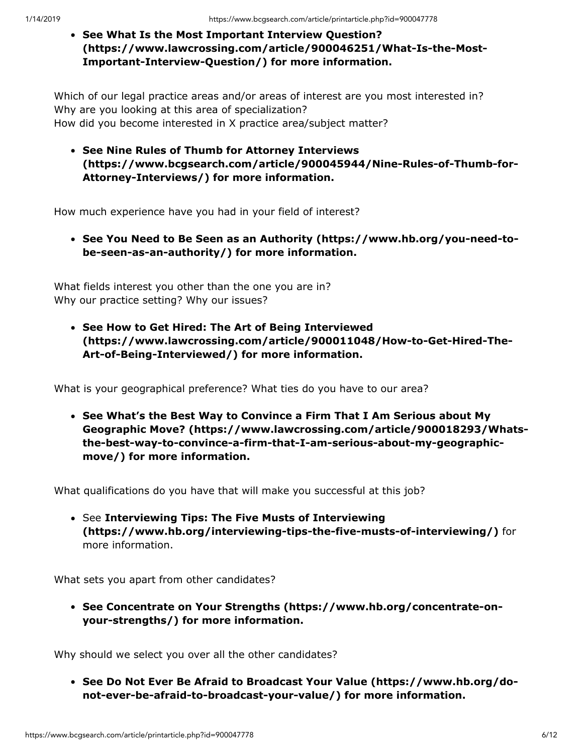**See What Is the Most Important Interview Question? [\(https://www.lawcrossing.com/article/900046251/What-Is-the-Most-](https://www.lawcrossing.com/article/900046251/What-Is-the-Most-Important-Interview-Question/)Important-Interview-Question/) for more information.**

Which of our legal practice areas and/or areas of interest are you most interested in? Why are you looking at this area of specialization? How did you become interested in X practice area/subject matter?

**See Nine Rules of Thumb for Attorney Interviews [\(https://www.bcgsearch.com/article/900045944/Nine-Rules-of-Thumb-for-](https://www.bcgsearch.com/article/900045944/Nine-Rules-of-Thumb-for-Attorney-Interviews/)Attorney-Interviews/) for more information.**

How much experience have you had in your field of interest?

**[See You Need to Be Seen as an Authority \(https://www.hb.org/you-need-to](https://www.hb.org/you-need-to-be-seen-as-an-authority/)be-seen-as-an-authority/) for more information.**

What fields interest you other than the one you are in? Why our practice setting? Why our issues?

**See How to Get Hired: The Art of Being Interviewed [\(https://www.lawcrossing.com/article/900011048/How-to-Get-Hired-The-](https://www.lawcrossing.com/article/900011048/How-to-Get-Hired-The-Art-of-Being-Interviewed/)Art-of-Being-Interviewed/) for more information.**

What is your geographical preference? What ties do you have to our area?

**See What's the Best Way to Convince a Firm That I Am Serious about My [Geographic Move? \(https://www.lawcrossing.com/article/900018293/Whats](https://www.lawcrossing.com/article/900018293/Whats-the-best-way-to-convince-a-firm-that-I-am-serious-about-my-geographic-move/)the-best-way-to-convince-a-firm-that-I-am-serious-about-my-geographicmove/) for more information.**

What qualifications do you have that will make you successful at this job?

See **Interviewing Tips: The Five Musts of Interviewing [\(https://www.hb.org/interviewing-tips-the-five-musts-of-interviewing/\)](https://www.hb.org/interviewing-tips-the-five-musts-of-interviewing/)** for more information.

What sets you apart from other candidates?

**[See Concentrate on Your Strengths \(https://www.hb.org/concentrate-on](https://www.hb.org/concentrate-on-your-strengths/)your-strengths/) for more information.**

Why should we select you over all the other candidates?

**[See Do Not Ever Be Afraid to Broadcast Your Value \(https://www.hb.org/do](https://www.hb.org/do-not-ever-be-afraid-to-broadcast-your-value/)not-ever-be-afraid-to-broadcast-your-value/) for more information.**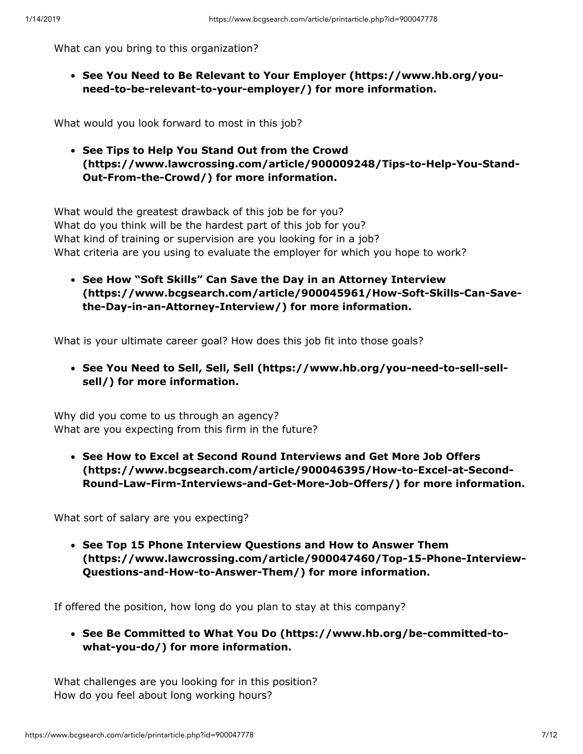What can you bring to this organization?

**[See You Need to Be Relevant to Your Employer \(https://www.hb.org/you](https://www.hb.org/you-need-to-be-relevant-to-your-employer/)need-to-be-relevant-to-your-employer/) for more information.**

What would you look forward to most in this job?

**See Tips to Help You Stand Out from the Crowd [\(https://www.lawcrossing.com/article/900009248/Tips-to-Help-You-Stand-](https://www.lawcrossing.com/article/900009248/Tips-to-Help-You-Stand-Out-From-the-Crowd/)Out-From-the-Crowd/) for more information.**

What would the greatest drawback of this job be for you? What do you think will be the hardest part of this job for you? What kind of training or supervision are you looking for in a job? What criteria are you using to evaluate the employer for which you hope to work?

**See How "Soft Skills" Can Save the Day in an Attorney Interview [\(https://www.bcgsearch.com/article/900045961/How-Soft-Skills-Can-Save](https://www.bcgsearch.com/article/900045961/How-Soft-Skills-Can-Save-the-Day-in-an-Attorney-Interview/)the-Day-in-an-Attorney-Interview/) for more information.**

What is your ultimate career goal? How does this job fit into those goals?

**[See You Need to Sell, Sell, Sell \(https://www.hb.org/you-need-to-sell-sell](https://www.hb.org/you-need-to-sell-sell-sell/)sell/) for more information.**

Why did you come to us through an agency? What are you expecting from this firm in the future?

**See How to Excel at Second Round Interviews and Get More Job Offers (https://www.bcgsearch.com/article/900046395/How-to-Excel-at-Second-[Round-Law-Firm-Interviews-and-Get-More-Job-Offers/\) for more informatio](https://www.bcgsearch.com/article/900046395/How-to-Excel-at-Second-Round-Law-Firm-Interviews-and-Get-More-Job-Offers/)n.**

What sort of salary are you expecting?

**See Top 15 Phone Interview Questions and How to Answer Them [\(https://www.lawcrossing.com/article/900047460/Top-15-Phone-Interview-](https://www.lawcrossing.com/article/900047460/Top-15-Phone-Interview-Questions-and-How-to-Answer-Them/)Questions-and-How-to-Answer-Them/) for more information.**

If offered the position, how long do you plan to stay at this company?

**[See Be Committed to What You Do \(https://www.hb.org/be-committed-to](https://www.hb.org/be-committed-to-what-you-do/)what-you-do/) for more information.**

What challenges are you looking for in this position? How do you feel about long working hours?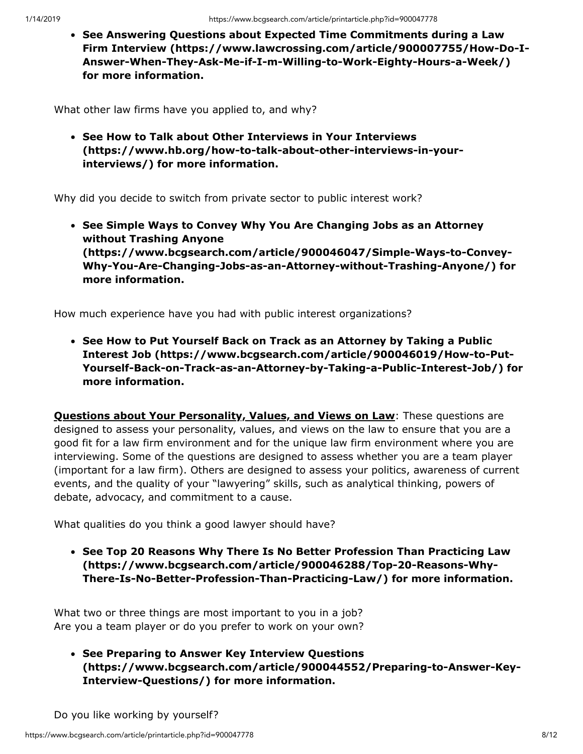**See Answering Questions about Expected Time Commitments during a Law [Firm Interview \(https://www.lawcrossing.com/article/900007755/How-Do-I-](https://www.lawcrossing.com/article/900007755/How-Do-I-Answer-When-They-Ask-Me-if-I-m-Willing-to-Work-Eighty-Hours-a-Week/)Answer-When-They-Ask-Me-if-I-m-Willing-to-Work-Eighty-Hours-a-Week/) for more information.**

What other law firms have you applied to, and why?

**See How to Talk about Other Interviews in Your Interviews [\(https://www.hb.org/how-to-talk-about-other-interviews-in-your](https://www.hb.org/how-to-talk-about-other-interviews-in-your-interviews/)interviews/) for more information.**

Why did you decide to switch from private sector to public interest work?

**See Simple Ways to Convey Why You Are Changing Jobs as an Attorney without Trashing Anyone (https://www.bcgsearch.com/article/900046047/Simple-Ways-to-Convey-[Why-You-Are-Changing-Jobs-as-an-Attorney-without-Trashing-Anyone/\) for](https://www.bcgsearch.com/article/900046047/Simple-Ways-to-Convey-Why-You-Are-Changing-Jobs-as-an-Attorney-without-Trashing-Anyone/) more information.**

How much experience have you had with public interest organizations?

**See How to Put Yourself Back on Track as an Attorney by Taking a Public Interest Job (https://www.bcgsearch.com/article/900046019/How-to-Put-[Yourself-Back-on-Track-as-an-Attorney-by-Taking-a-Public-Interest-Job/\) fo](https://www.bcgsearch.com/article/900046019/How-to-Put-Yourself-Back-on-Track-as-an-Attorney-by-Taking-a-Public-Interest-Job/)r more information.**

**Questions about Your Personality, Values, and Views on Law: These questions are** designed to assess your personality, values, and views on the law to ensure that you are a good fit for a law firm environment and for the unique law firm environment where you are interviewing. Some of the questions are designed to assess whether you are a team player (important for a law firm). Others are designed to assess your politics, awareness of current events, and the quality of your "lawyering" skills, such as analytical thinking, powers of debate, advocacy, and commitment to a cause.

What qualities do you think a good lawyer should have?

**See Top 20 Reasons Why There Is No Better Profession Than Practicing Law (https://www.bcgsearch.com/article/900046288/Top-20-Reasons-Why-[There-Is-No-Better-Profession-Than-Practicing-Law/\) for more information.](https://www.bcgsearch.com/article/900046288/Top-20-Reasons-Why-There-Is-No-Better-Profession-Than-Practicing-Law/)**

What two or three things are most important to you in a job? Are you a team player or do you prefer to work on your own?

**See Preparing to Answer Key Interview Questions [\(https://www.bcgsearch.com/article/900044552/Preparing-to-Answer-Key-](https://www.bcgsearch.com/article/900044552/Preparing-to-Answer-Key-Interview-Questions/)Interview-Questions/) for more information.**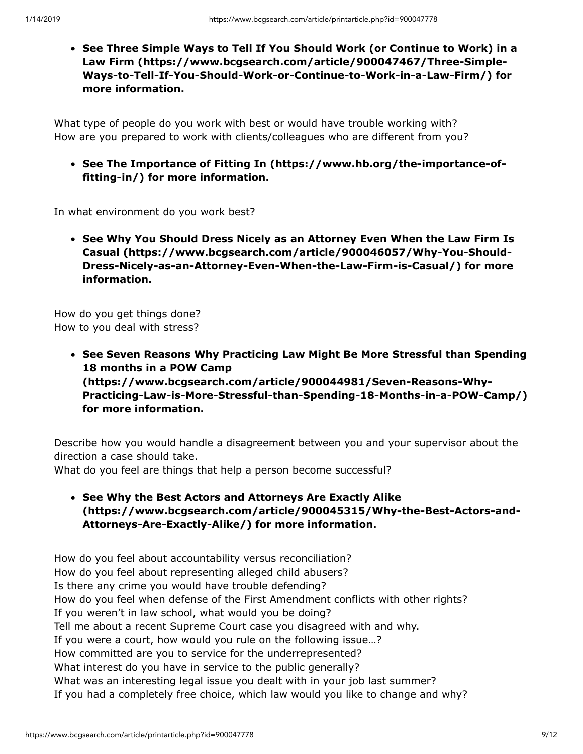**[See Three Simple Ways to Tell If You Should Work \(or Continue to Work\) in a](https://www.bcgsearch.com/article/900047467/Three-Simple-Ways-to-Tell-If-You-Should-Work-or-Continue-to-Work-in-a-Law-Firm/) Law Firm (https://www.bcgsearch.com/article/900047467/Three-Simple-Ways-to-Tell-If-You-Should-Work-or-Continue-to-Work-in-a-Law-Firm/) for more information.**

What type of people do you work with best or would have trouble working with? How are you prepared to work with clients/colleagues who are different from you?

**[See The Importance of Fitting In \(https://www.hb.org/the-importance-of](https://www.hb.org/the-importance-of-fitting-in/)fitting-in/) for more information.**

In what environment do you work best?

**[See Why You Should Dress Nicely as an Attorney Even When the Law Firm Is](https://www.bcgsearch.com/article/900046057/Why-You-Should-Dress-Nicely-as-an-Attorney-Even-When-the-Law-Firm-is-Casual/) Casual (https://www.bcgsearch.com/article/900046057/Why-You-Should-Dress-Nicely-as-an-Attorney-Even-When-the-Law-Firm-is-Casual/) for more information.**

How do you get things done? How to you deal with stress?

> **See Seven Reasons Why Practicing Law Might Be More Stressful than Spending 18 months in a POW Camp (https://www.bcgsearch.com/article/900044981/Seven-Reasons-Why-[Practicing-Law-is-More-Stressful-than-Spending-18-Months-in-a-POW-Camp/\)](https://www.bcgsearch.com/article/900044981/Seven-Reasons-Why-Practicing-Law-is-More-Stressful-than-Spending-18-Months-in-a-POW-Camp/) for more information.**

Describe how you would handle a disagreement between you and your supervisor about the direction a case should take.

What do you feel are things that help a person become successful?

**See Why the Best Actors and Attorneys Are Exactly Alike [\(https://www.bcgsearch.com/article/900045315/Why-the-Best-Actors-and-](https://www.bcgsearch.com/article/900045315/Why-the-Best-Actors-and-Attorneys-Are-Exactly-Alike/)Attorneys-Are-Exactly-Alike/) for more information.**

How do you feel about accountability versus reconciliation? How do you feel about representing alleged child abusers? Is there any crime you would have trouble defending? How do you feel when defense of the First Amendment conflicts with other rights? If you weren't in law school, what would you be doing? Tell me about a recent Supreme Court case you disagreed with and why. If you were a court, how would you rule on the following issue…? How committed are you to service for the underrepresented? What interest do you have in service to the public generally? What was an interesting legal issue you dealt with in your job last summer? If you had a completely free choice, which law would you like to change and why?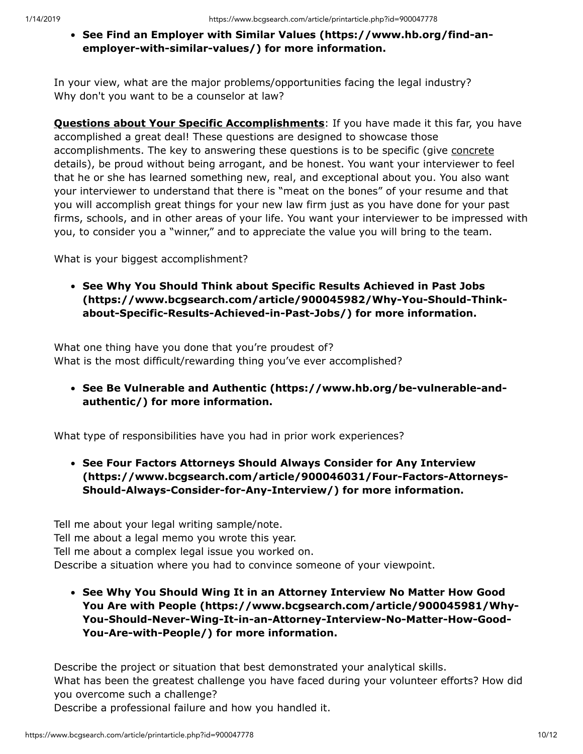### **[See Find an Employer with Similar Values \(https://www.hb.org/find-an](https://www.hb.org/find-an-employer-with-similar-values/)employer-with-similar-values/) for more information.**

In your view, what are the major problems/opportunities facing the legal industry? Why don't you want to be a counselor at law?

**Questions about Your Specific Accomplishments**: If you have made it this far, you have accomplished a great deal! These questions are designed to showcase those accomplishments. The key to answering these questions is to be specific (give concrete details), be proud without being arrogant, and be honest. You want your interviewer to feel that he or she has learned something new, real, and exceptional about you. You also want your interviewer to understand that there is "meat on the bones" of your resume and that you will accomplish great things for your new law firm just as you have done for your past firms, schools, and in other areas of your life. You want your interviewer to be impressed with you, to consider you a "winner," and to appreciate the value you will bring to the team.

What is your biggest accomplishment?

**See Why You Should Think about Specific Results Achieved in Past Jobs [\(https://www.bcgsearch.com/article/900045982/Why-You-Should-Think](https://www.bcgsearch.com/article/900045982/Why-You-Should-Think-about-Specific-Results-Achieved-in-Past-Jobs/)about-Specific-Results-Achieved-in-Past-Jobs/) for more information.**

What one thing have you done that you're proudest of? What is the most difficult/rewarding thing you've ever accomplished?

**[See Be Vulnerable and Authentic \(https://www.hb.org/be-vulnerable-and](https://www.hb.org/be-vulnerable-and-authentic/)authentic/) for more information.**

What type of responsibilities have you had in prior work experiences?

**See Four Factors Attorneys Should Always Consider for Any Interview [\(https://www.bcgsearch.com/article/900046031/Four-Factors-Attorneys-](https://www.bcgsearch.com/article/900046031/Four-Factors-Attorneys-Should-Always-Consider-for-Any-Interview/)Should-Always-Consider-for-Any-Interview/) for more information.**

Tell me about your legal writing sample/note. Tell me about a legal memo you wrote this year. Tell me about a complex legal issue you worked on. Describe a situation where you had to convince someone of your viewpoint.

**See Why You Should Wing It in an Attorney Interview No Matter How Good [You Are with People \(https://www.bcgsearch.com/article/900045981/Why-](https://www.bcgsearch.com/article/900045981/Why-You-Should-Never-Wing-It-in-an-Attorney-Interview-No-Matter-How-Good-You-Are-with-People/)You-Should-Never-Wing-It-in-an-Attorney-Interview-No-Matter-How-Good-You-Are-with-People/) for more information.**

Describe the project or situation that best demonstrated your analytical skills. What has been the greatest challenge you have faced during your volunteer efforts? How did you overcome such a challenge?

Describe a professional failure and how you handled it.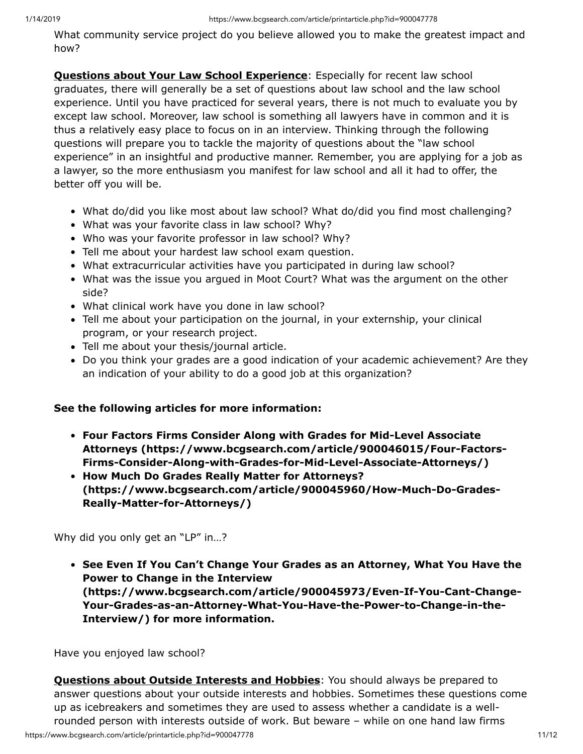What community service project do you believe allowed you to make the greatest impact and how?

**Questions about Your Law School Experience**: Especially for recent law school graduates, there will generally be a set of questions about law school and the law school experience. Until you have practiced for several years, there is not much to evaluate you by except law school. Moreover, law school is something all lawyers have in common and it is thus a relatively easy place to focus on in an interview. Thinking through the following questions will prepare you to tackle the majority of questions about the "law school experience" in an insightful and productive manner. Remember, you are applying for a job as a lawyer, so the more enthusiasm you manifest for law school and all it had to offer, the better off you will be.

- What do/did you like most about law school? What do/did you find most challenging?
- What was your favorite class in law school? Why?
- Who was your favorite professor in law school? Why?
- Tell me about your hardest law school exam question.
- What extracurricular activities have you participated in during law school?
- What was the issue you argued in Moot Court? What was the argument on the other side?
- What clinical work have you done in law school?
- Tell me about your participation on the journal, in your externship, your clinical program, or your research project.
- Tell me about your thesis/journal article.
- Do you think your grades are a good indication of your academic achievement? Are they an indication of your ability to do a good job at this organization?

#### **See the following articles for more information:**

- **Four Factors Firms Consider Along with Grades for Mid-Level Associate [Attorneys \(https://www.bcgsearch.com/article/900046015/Four-Factors-](https://www.bcgsearch.com/article/900046015/Four-Factors-Firms-Consider-Along-with-Grades-for-Mid-Level-Associate-Attorneys/)Firms-Consider-Along-with-Grades-for-Mid-Level-Associate-Attorneys/)**
- **How Much Do Grades Really Matter for Attorneys? [\(https://www.bcgsearch.com/article/900045960/How-Much-Do-Grades-](https://www.bcgsearch.com/article/900045960/How-Much-Do-Grades-Really-Matter-for-Attorneys/)Really-Matter-for-Attorneys/)**

Why did you only get an "LP" in…?

**[See Even If You Can't Change Your Grades as an Attorney, What You Have the](https://www.bcgsearch.com/article/900045973/Even-If-You-Cant-Change-Your-Grades-as-an-Attorney-What-You-Have-the-Power-to-Change-in-the-Interview/) Power to Change in the Interview (https://www.bcgsearch.com/article/900045973/Even-If-You-Cant-Change-Your-Grades-as-an-Attorney-What-You-Have-the-Power-to-Change-in-the-Interview/) for more information.**

Have you enjoyed law school?

https://www.bcgsearch.com/article/printarticle.php?id=900047778 11/12 **Questions about Outside Interests and Hobbies**: You should always be prepared to answer questions about your outside interests and hobbies. Sometimes these questions come up as icebreakers and sometimes they are used to assess whether a candidate is a wellrounded person with interests outside of work. But beware – while on one hand law firms